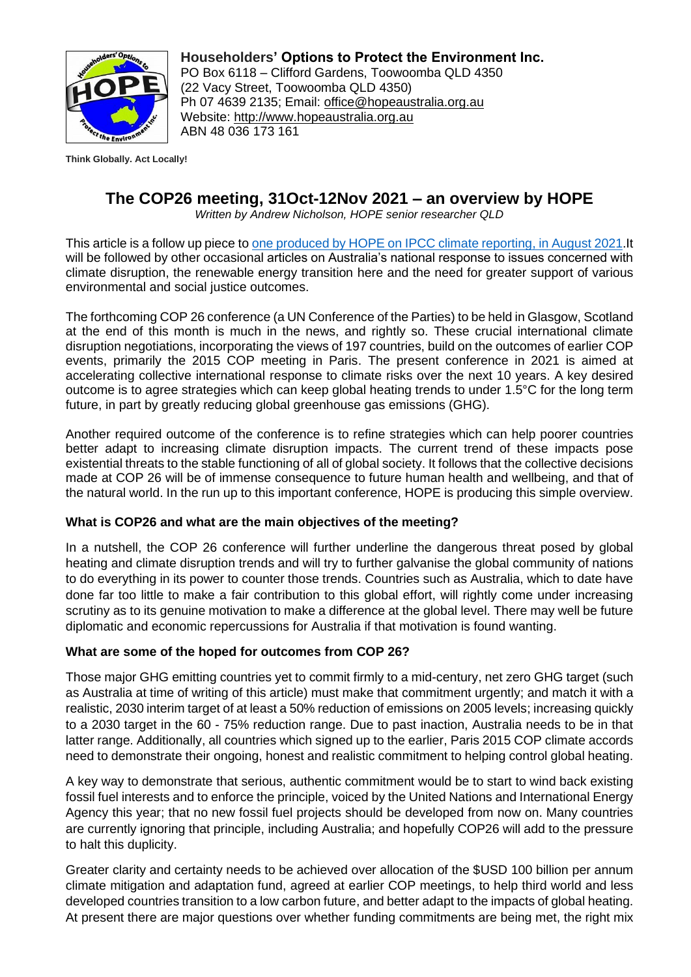

**Householders' Options to Protect the Environment Inc.** PO Box 6118 – Clifford Gardens, Toowoomba QLD 4350 (22 Vacy Street, Toowoomba QLD 4350) Ph 07 4639 2135; Email: office@hopeaustralia.org.au Website[:](http://www.hopeaustralia.org.au/) [http://www.hopeaustralia.org.au](http://www.hopeaustralia.org.au/) ABN 48 036 173 161

**Think Globally. Act Locally!**

# **The COP26 meeting, 31Oct-12Nov 2021 – an overview by HOPE**

*Written by Andrew Nicholson, HOPE senior researcher QLD*

This article is a follow up piece to [one produced by HOPE on IPCC climate reporting,](http://www.hopeaustralia.org.au/resources/sundry-hope/) in August 2021.It will be followed by other occasional articles on Australia's national response to issues concerned with climate disruption, the renewable energy transition here and the need for greater support of various environmental and social justice outcomes.

The forthcoming COP 26 conference (a UN Conference of the Parties) to be held in Glasgow, Scotland at the end of this month is much in the news, and rightly so. These crucial international climate disruption negotiations, incorporating the views of 197 countries, build on the outcomes of earlier COP events, primarily the 2015 COP meeting in Paris. The present conference in 2021 is aimed at accelerating collective international response to climate risks over the next 10 years. A key desired outcome is to agree strategies which can keep global heating trends to under 1.5°C for the long term future, in part by greatly reducing global greenhouse gas emissions (GHG).

Another required outcome of the conference is to refine strategies which can help poorer countries better adapt to increasing climate disruption impacts. The current trend of these impacts pose existential threats to the stable functioning of all of global society. It follows that the collective decisions made at COP 26 will be of immense consequence to future human health and wellbeing, and that of the natural world. In the run up to this important conference, HOPE is producing this simple overview.

### **What is COP26 and what are the main objectives of the meeting?**

In a nutshell, the COP 26 conference will further underline the dangerous threat posed by global heating and climate disruption trends and will try to further galvanise the global community of nations to do everything in its power to counter those trends. Countries such as Australia, which to date have done far too little to make a fair contribution to this global effort, will rightly come under increasing scrutiny as to its genuine motivation to make a difference at the global level. There may well be future diplomatic and economic repercussions for Australia if that motivation is found wanting.

### **What are some of the hoped for outcomes from COP 26?**

Those major GHG emitting countries yet to commit firmly to a mid-century, net zero GHG target (such as Australia at time of writing of this article) must make that commitment urgently; and match it with a realistic, 2030 interim target of at least a 50% reduction of emissions on 2005 levels; increasing quickly to a 2030 target in the 60 - 75% reduction range. Due to past inaction, Australia needs to be in that latter range. Additionally, all countries which signed up to the earlier, Paris 2015 COP climate accords need to demonstrate their ongoing, honest and realistic commitment to helping control global heating.

A key way to demonstrate that serious, authentic commitment would be to start to wind back existing fossil fuel interests and to enforce the principle, voiced by the United Nations and International Energy Agency this year; that no new fossil fuel projects should be developed from now on. Many countries are currently ignoring that principle, including Australia; and hopefully COP26 will add to the pressure to halt this duplicity.

Greater clarity and certainty needs to be achieved over allocation of the \$USD 100 billion per annum climate mitigation and adaptation fund, agreed at earlier COP meetings, to help third world and less developed countries transition to a low carbon future, and better adapt to the impacts of global heating. At present there are major questions over whether funding commitments are being met, the right mix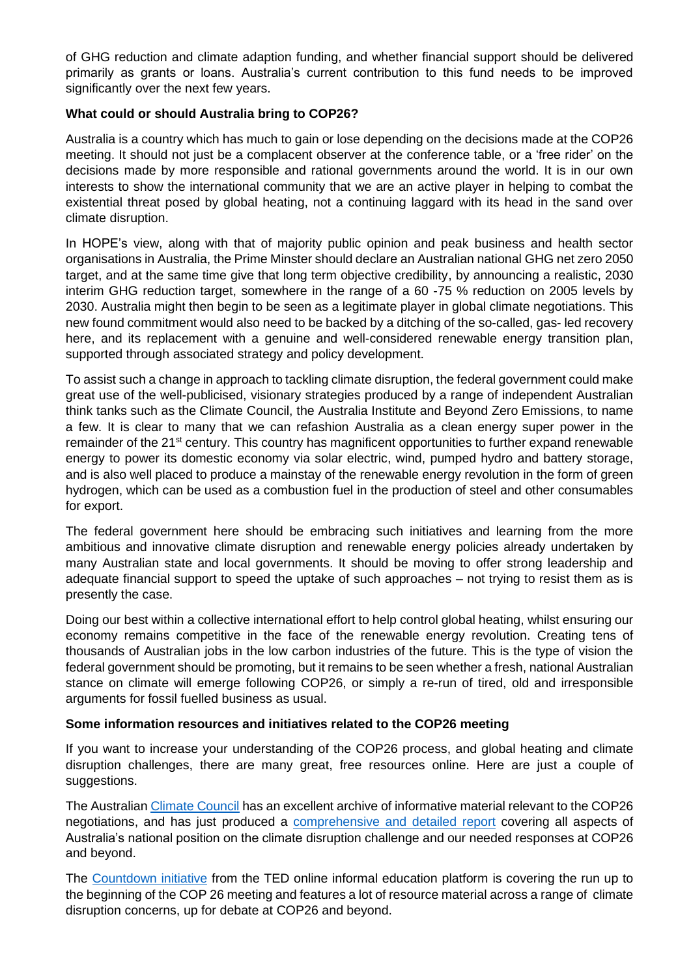of GHG reduction and climate adaption funding, and whether financial support should be delivered primarily as grants or loans. Australia's current contribution to this fund needs to be improved significantly over the next few years.

## **What could or should Australia bring to COP26?**

Australia is a country which has much to gain or lose depending on the decisions made at the COP26 meeting. It should not just be a complacent observer at the conference table, or a 'free rider' on the decisions made by more responsible and rational governments around the world. It is in our own interests to show the international community that we are an active player in helping to combat the existential threat posed by global heating, not a continuing laggard with its head in the sand over climate disruption.

In HOPE's view, along with that of majority public opinion and peak business and health sector organisations in Australia, the Prime Minster should declare an Australian national GHG net zero 2050 target, and at the same time give that long term objective credibility, by announcing a realistic, 2030 interim GHG reduction target, somewhere in the range of a 60 -75 % reduction on 2005 levels by 2030. Australia might then begin to be seen as a legitimate player in global climate negotiations. This new found commitment would also need to be backed by a ditching of the so-called, gas- led recovery here, and its replacement with a genuine and well-considered renewable energy transition plan, supported through associated strategy and policy development.

To assist such a change in approach to tackling climate disruption, the federal government could make great use of the well-publicised, visionary strategies produced by a range of independent Australian think tanks such as the Climate Council, the Australia Institute and Beyond Zero Emissions, to name a few. It is clear to many that we can refashion Australia as a clean energy super power in the remainder of the 21<sup>st</sup> century. This country has magnificent opportunities to further expand renewable energy to power its domestic economy via solar electric, wind, pumped hydro and battery storage, and is also well placed to produce a mainstay of the renewable energy revolution in the form of green hydrogen, which can be used as a combustion fuel in the production of steel and other consumables for export.

The federal government here should be embracing such initiatives and learning from the more ambitious and innovative climate disruption and renewable energy policies already undertaken by many Australian state and local governments. It should be moving to offer strong leadership and adequate financial support to speed the uptake of such approaches – not trying to resist them as is presently the case.

Doing our best within a collective international effort to help control global heating, whilst ensuring our economy remains competitive in the face of the renewable energy revolution. Creating tens of thousands of Australian jobs in the low carbon industries of the future. This is the type of vision the federal government should be promoting, but it remains to be seen whether a fresh, national Australian stance on climate will emerge following COP26, or simply a re-run of tired, old and irresponsible arguments for fossil fuelled business as usual.

### **Some information resources and initiatives related to the COP26 meeting**

If you want to increase your understanding of the COP26 process, and global heating and climate disruption challenges, there are many great, free resources online. Here are just a couple of suggestions.

The Australian [Climate Council](https://www.climatecouncil.org.au/resources/cop26-explained/) has an excellent archive of informative material relevant to the COP26 negotiations, and has just produced a [comprehensive and detailed report](https://www.climatecouncil.org.au/resources/paris-glasgow-world-move/) covering all aspects of Australia's national position on the climate disruption challenge and our needed responses at COP26 and beyond.

The [Countdown initiative](https://countdown.ted.com/get-involved) from the TED online informal education platform is covering the run up to the beginning of the COP 26 meeting and features a lot of resource material across a range of climate disruption concerns, up for debate at COP26 and beyond.